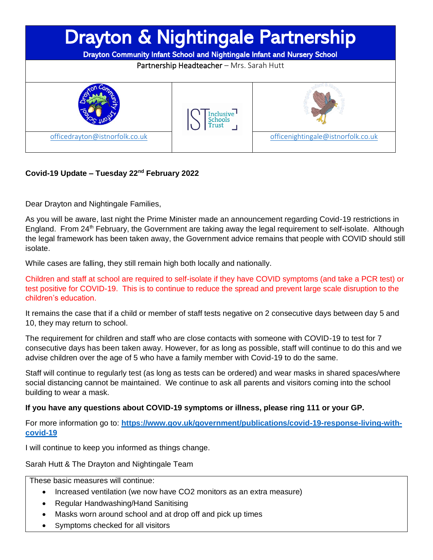

## **Covid-19 Update – Tuesday 22nd February 2022**

Dear Drayton and Nightingale Families,

As you will be aware, last night the Prime Minister made an announcement regarding Covid-19 restrictions in England. From 24<sup>th</sup> February, the Government are taking away the legal requirement to self-isolate. Although the legal framework has been taken away, the Government advice remains that people with COVID should still isolate.

While cases are falling, they still remain high both locally and nationally.

Children and staff at school are required to self-isolate if they have COVID symptoms (and take a PCR test) or test positive for COVID-19. This is to continue to reduce the spread and prevent large scale disruption to the children's education.

It remains the case that if a child or member of staff tests negative on 2 consecutive days between day 5 and 10, they may return to school.

The requirement for children and staff who are close contacts with someone with COVID-19 to test for 7 consecutive days has been taken away. However, for as long as possible, staff will continue to do this and we advise children over the age of 5 who have a family member with Covid-19 to do the same.

Staff will continue to regularly test (as long as tests can be ordered) and wear masks in shared spaces/where social distancing cannot be maintained. We continue to ask all parents and visitors coming into the school building to wear a mask.

## **If you have any questions about COVID-19 symptoms or illness, please ring 111 or your GP.**

For more information go to: **[https://www.gov.uk/government/publications/covid-19-response-living-with](https://www.gov.uk/government/publications/covid-19-response-living-with-covid-19)[covid-19](https://www.gov.uk/government/publications/covid-19-response-living-with-covid-19)**

I will continue to keep you informed as things change.

Sarah Hutt & The Drayton and Nightingale Team

These basic measures will continue:

- Increased ventilation (we now have CO2 monitors as an extra measure)
- Regular Handwashing/Hand Sanitising
- Masks worn around school and at drop off and pick up times
- Symptoms checked for all visitors